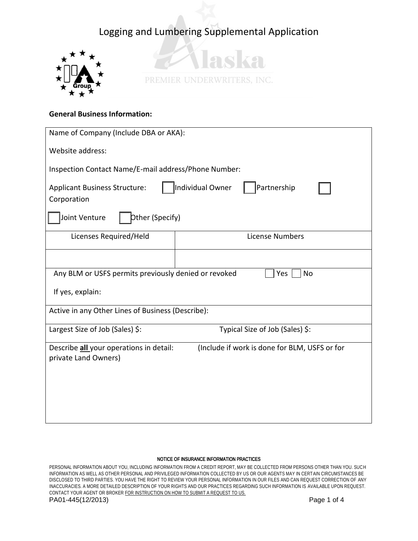



## **General Business Information:**

| Name of Company (Include DBA or AKA):                                                                            |  |  |  |  |  |
|------------------------------------------------------------------------------------------------------------------|--|--|--|--|--|
| Website address:                                                                                                 |  |  |  |  |  |
| Inspection Contact Name/E-mail address/Phone Number:                                                             |  |  |  |  |  |
| Individual Owner<br>Partnership<br><b>Applicant Business Structure:</b><br>Corporation                           |  |  |  |  |  |
| Other (Specify)<br>Joint Venture                                                                                 |  |  |  |  |  |
| Licenses Required/Held<br><b>License Numbers</b>                                                                 |  |  |  |  |  |
|                                                                                                                  |  |  |  |  |  |
| Any BLM or USFS permits previously denied or revoked<br>Yes<br>No                                                |  |  |  |  |  |
| If yes, explain:                                                                                                 |  |  |  |  |  |
| Active in any Other Lines of Business (Describe):                                                                |  |  |  |  |  |
| Largest Size of Job (Sales) \$:<br>Typical Size of Job (Sales) \$:                                               |  |  |  |  |  |
| (Include if work is done for BLM, USFS or for<br>Describe all your operations in detail:<br>private Land Owners) |  |  |  |  |  |
|                                                                                                                  |  |  |  |  |  |
|                                                                                                                  |  |  |  |  |  |
|                                                                                                                  |  |  |  |  |  |

#### NOTICE OF INSURANCE INFORMATION PRACTICES

PERSONAL INFORMATION ABOUT YOU, INCLUDING INFORMATION FROM A CREDIT REPORT, MAY BE COLLECTED FROM PERSONS OTHER THAN YOU. SUCH INFORMATION AS WELL AS OTHER PERSONAL AND PRIVILEGED INFORMATION COLLECTED BY US OR OUR AGENTS MAY IN CERTAIN CIRCUMSTANCES BE DISCLOSED TO THIRD PARTIES. YOU HAVE THE RIGHT TO REVIEW YOUR PERSONAL INFORMATION IN OUR FILES AND CAN REQUEST CORRECTION OF ANY INACCURACIES. A MORE DETAILED DESCRIPTION OF YOUR RIGHTS AND OUR PRACTICES REGARDING SUCH INFORMATION IS AVAILABLE UPON REQUEST. CONTACT YOUR AGENT OR BROKER FOR INSTRUCTION ON HOW TO SUBMIT A REQUEST TO US. PA01-445(12/2013) Page 1 of 4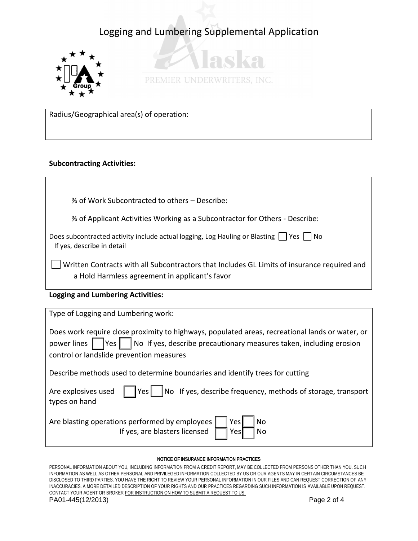



Radius/Geographical area(s) of operation:

## **Subcontracting Activities:**

% of Work Subcontracted to others – Describe:

% of Applicant Activities Working as a Subcontractor for Others - Describe:

Does subcontracted activity include actual logging, Log Hauling or Blasting  $\Box$  Yes  $\Box$  No If yes, describe in detail

Written Contracts with all Subcontractors that Includes GL Limits of insurance required and a Hold Harmless agreement in applicant's favor

## **Logging and Lumbering Activities:**

| Type of Logging and Lumbering work:                                                                                                                                                                                                              |  |  |  |
|--------------------------------------------------------------------------------------------------------------------------------------------------------------------------------------------------------------------------------------------------|--|--|--|
| Does work require close proximity to highways, populated areas, recreational lands or water, or<br>power lines $\Box$ Yes $\Box$ No If yes, describe precautionary measures taken, including erosion<br>control or landslide prevention measures |  |  |  |
| Describe methods used to determine boundaries and identify trees for cutting                                                                                                                                                                     |  |  |  |
| Yes     No If yes, describe frequency, methods of storage, transport<br>Are explosives used<br>types on hand                                                                                                                                     |  |  |  |
| Are blasting operations performed by employees  <br>Yes<br>No<br>If yes, are blasters licensed<br>Yes<br>No                                                                                                                                      |  |  |  |

#### NOTICE OF INSURANCE INFORMATION PRACTICES

PERSONAL INFORMATION ABOUT YOU, INCLUDING INFORMATION FROM A CREDIT REPORT, MAY BE COLLECTED FROM PERSONS OTHER THAN YOU. SUCH INFORMATION AS WELL AS OTHER PERSONAL AND PRIVILEGED INFORMATION COLLECTED BY US OR OUR AGENTS MAY IN CERTAIN CIRCUMSTANCES BE DISCLOSED TO THIRD PARTIES. YOU HAVE THE RIGHT TO REVIEW YOUR PERSONAL INFORMATION IN OUR FILES AND CAN REQUEST CORRECTION OF ANY INACCURACIES. A MORE DETAILED DESCRIPTION OF YOUR RIGHTS AND OUR PRACTICES REGARDING SUCH INFORMATION IS AVAILABLE UPON REQUEST. CONTACT YOUR AGENT OR BROKER FOR INSTRUCTION ON HOW TO SUBMIT A REQUEST TO US. PA01-445(12/2013) Page 2 of 4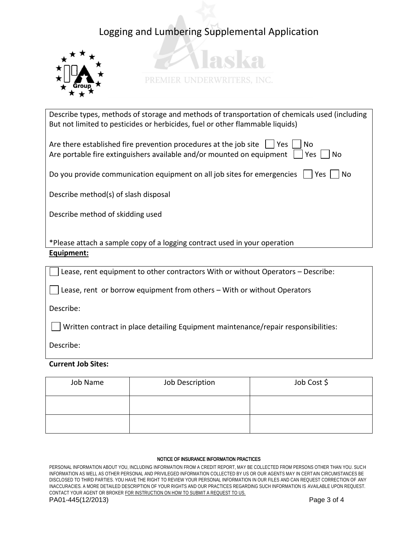



Describe types, methods of storage and methods of transportation of chemicals used (including But not limited to pesticides or herbicides, fuel or other flammable liquids)

| Are there established fire prevention procedures at the job site $\vert \vert$ Yes $\vert$<br>No.<br>Are portable fire extinguishers available and/or mounted on equipment<br> Yes    No |  |  |  |  |  |
|------------------------------------------------------------------------------------------------------------------------------------------------------------------------------------------|--|--|--|--|--|
| Do you provide communication equipment on all job sites for emergencies $\vert$   Yes     No                                                                                             |  |  |  |  |  |
| Describe method(s) of slash disposal                                                                                                                                                     |  |  |  |  |  |

Describe method of skidding used

\*Please attach a sample copy of a logging contract used in your operation **Equipment:** 

Lease, rent equipment to other contractors With or without Operators – Describe:

Lease, rent or borrow equipment from others – With or without Operators

Describe:

Written contract in place detailing Equipment maintenance/repair responsibilities:

Describe:

### **Current Job Sites:**

| Job Name | Job Description | Job Cost \$ |
|----------|-----------------|-------------|
|          |                 |             |
|          |                 |             |

#### NOTICE OF INSURANCE INFORMATION PRACTICES

PERSONAL INFORMATION ABOUT YOU, INCLUDING INFORMATION FROM A CREDIT REPORT, MAY BE COLLECTED FROM PERSONS OTHER THAN YOU. SUCH INFORMATION AS WELL AS OTHER PERSONAL AND PRIVILEGED INFORMATION COLLECTED BY US OR OUR AGENTS MAY IN CERTAIN CIRCUMSTANCES BE DISCLOSED TO THIRD PARTIES. YOU HAVE THE RIGHT TO REVIEW YOUR PERSONAL INFORMATION IN OUR FILES AND CAN REQUEST CORRECTION OF ANY INACCURACIES. A MORE DETAILED DESCRIPTION OF YOUR RIGHTS AND OUR PRACTICES REGARDING SUCH INFORMATION IS AVAILABLE UPON REQUEST. CONTACT YOUR AGENT OR BROKER FOR INSTRUCTION ON HOW TO SUBMIT A REQUEST TO US. PA01-445(12/2013) Page 3 of 4